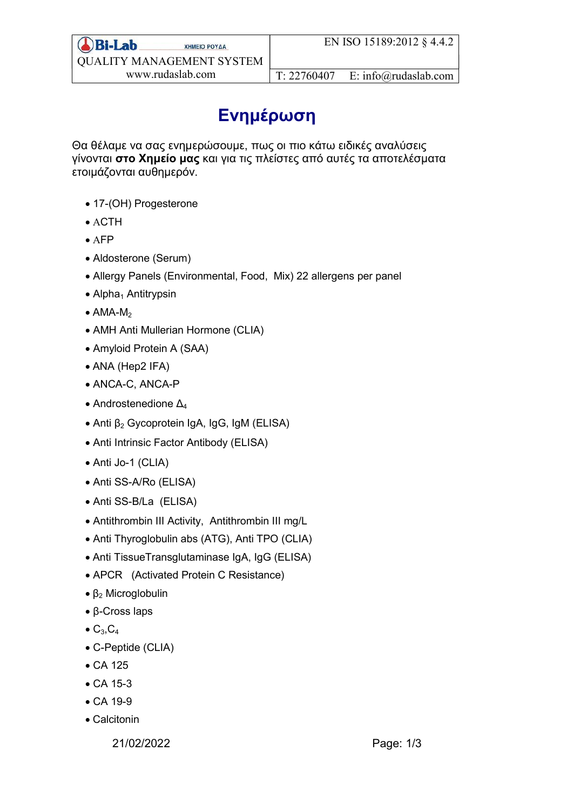## Ενημέρωση

Θα θέλαμε να σας ενημερώσουμε, πως οι πιο κάτω ειδικές αναλύσεις γίνονται στο Χημείο μας και για τις πλείστες από αυτές τα αποτελέσματα ετοιμάζονται αυθημερόν.

- 17-(OH) Progesterone
- $\bullet$  ACTH
- $\bullet$  AFP
- Aldosterone (Serum)
- Allergy Panels (Environmental, Food, Mix) 22 allergens per panel
- $\bullet$  Alpha<sub>1</sub> Antitrypsin
- $\bullet$  AMA-M<sub>2</sub>
- AMH Anti Mullerian Hormone (CLIA)
- Amyloid Protein A (SAA)
- ANA (Hep2 IFA)
- ANCA-C, ANCA-P
- Androstenedione  $\Delta_4$
- Anti  $β<sub>2</sub> Gycoprotein IgA, IgG, IgM (ELISA)$
- Anti Intrinsic Factor Antibody (ELISA)
- Anti Jo-1 (CLIA)
- Anti SS-A/Ro (ELISA)
- Anti SS-B/La (ELISA)
- Antithrombin III Activity, Antithrombin III mg/L
- Anti Thyroglobulin abs (ATG), Anti TPO (CLIA)
- Anti TissueTransglutaminase IgA, IgG (ELISA)
- APCR (Activated Protein C Resistance)
- $β_2$  Microglobulin
- β-Cross laps
- $\bullet$  C<sub>3</sub>,C<sub>4</sub>
- C-Peptide (CLIA)
- CA 125
- CA 15-3
- CA 19-9
- Calcitonin

21/02/2022 Page: 1/3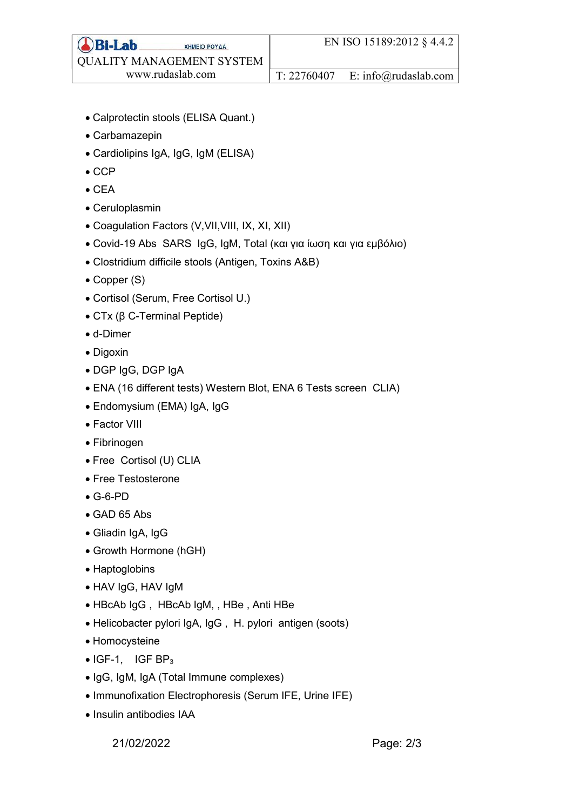- Calprotectin stools (ELISA Quant.)
- Carbamazepin
- Cardiolipins IgA, IgG, IgM (ELISA)
- $\bullet$  CCP
- $\bullet$  CEA
- Ceruloplasmin
- Coagulation Factors (V,VII,VIII, IX, XI, XII)
- Covid-19 Abs SARS IgG, IgM, Total (και για ίωση και για εμβόλιο)
- Clostridium difficile stools (Antigen, Toxins A&B)
- Copper (S)
- Cortisol (Serum, Free Cortisol U.)
- CTx (β C-Terminal Peptide)
- d-Dimer
- Digoxin
- DGP IgG, DGP IgA
- ENA (16 different tests) Western Blot, ENA 6 Tests screen CLIA)
- Endomysium (EMA) IgA, IgG
- Factor VIII
- Fibrinogen
- Free Cortisol (U) CLIA
- Free Testosterone
- G-6-PD
- GAD 65 Abs
- Gliadin IgA, IgG
- Growth Hormone (hGH)
- Haptoglobins
- HAV IgG, HAV IgM
- HBcAb IgG , HBcAb IgM, , HBe , Anti HBe
- Helicobacter pylori IgA, IgG , H. pylori antigen (soots)
- Homocysteine
- $\bullet$  IGF-1, IGF BP<sub>3</sub>
- IgG, IgM, IgA (Total Immune complexes)
- Immunofixation Electrophoresis (Serum IFE, Urine IFE)
- Insulin antibodies IAA

21/02/2022 Page: 2/3